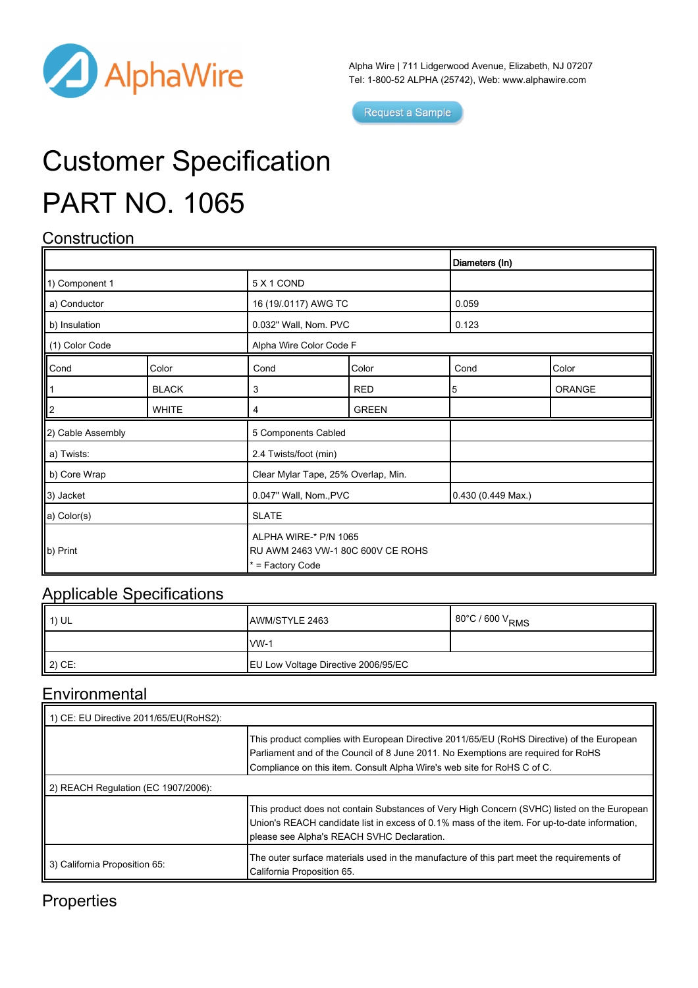

Alpha Wire | 711 Lidgerwood Avenue, Elizabeth, NJ 07207 Tel: 1-800-52 ALPHA (25742), Web: [www.alphawire.com](http://www.alphawire.com)

Request a Sample

# Customer Specification PART NO. 1065

### **Construction**

|                                              |              |                                                                                |              | Diameters (In)     |        |
|----------------------------------------------|--------------|--------------------------------------------------------------------------------|--------------|--------------------|--------|
| 1) Component 1                               |              | 5 X 1 COND                                                                     |              |                    |        |
| a) Conductor                                 |              | 16 (19/.0117) AWG TC                                                           |              | 0.059              |        |
| b) Insulation                                |              | 0.032" Wall, Nom. PVC                                                          |              | 0.123              |        |
| (1) Color Code                               |              | Alpha Wire Color Code F                                                        |              |                    |        |
| Cond                                         | Color        | Cond                                                                           | Color        | Cond               | Color  |
| $\begin{array}{c} \hline 1 \\ 2 \end{array}$ | <b>BLACK</b> | 3                                                                              | <b>RED</b>   | 5                  | ORANGE |
|                                              | <b>WHITE</b> | 4                                                                              | <b>GREEN</b> |                    |        |
| 2) Cable Assembly                            |              | 5 Components Cabled                                                            |              |                    |        |
| a) Twists:                                   |              | 2.4 Twists/foot (min)                                                          |              |                    |        |
| b) Core Wrap                                 |              | Clear Mylar Tape, 25% Overlap, Min.                                            |              |                    |        |
| 3) Jacket                                    |              | 0.047" Wall, Nom., PVC                                                         |              | 0.430 (0.449 Max.) |        |
| a) Color(s)                                  |              | <b>SLATE</b>                                                                   |              |                    |        |
| $\vert\vert$ b) Print                        |              | ALPHA WIRE-* P/N 1065<br>RU AWM 2463 VW-1 80C 600V CE ROHS<br>* = Factory Code |              |                    |        |

#### Applicable Specifications

| 1) UL  | AWM/STYLE 2463                      | 80°C / 600 V <sub>RMS</sub> |
|--------|-------------------------------------|-----------------------------|
|        | $vw-1$                              |                             |
| 2) CE: | EU Low Voltage Directive 2006/95/EC |                             |

#### **Environmental**

| 1) CE: EU Directive 2011/65/EU(RoHS2): |                                                                                                                                                                                                                                                           |
|----------------------------------------|-----------------------------------------------------------------------------------------------------------------------------------------------------------------------------------------------------------------------------------------------------------|
|                                        | This product complies with European Directive 2011/65/EU (RoHS Directive) of the European<br>Parliament and of the Council of 8 June 2011. No Exemptions are required for RoHS<br>Compliance on this item. Consult Alpha Wire's web site for RoHS C of C. |
| 2) REACH Regulation (EC 1907/2006):    |                                                                                                                                                                                                                                                           |
|                                        | This product does not contain Substances of Very High Concern (SVHC) listed on the European<br>Union's REACH candidate list in excess of 0.1% mass of the item. For up-to-date information,<br>please see Alpha's REACH SVHC Declaration.                 |
| 3) California Proposition 65:          | The outer surface materials used in the manufacture of this part meet the requirements of<br>California Proposition 65.                                                                                                                                   |

#### **Properties**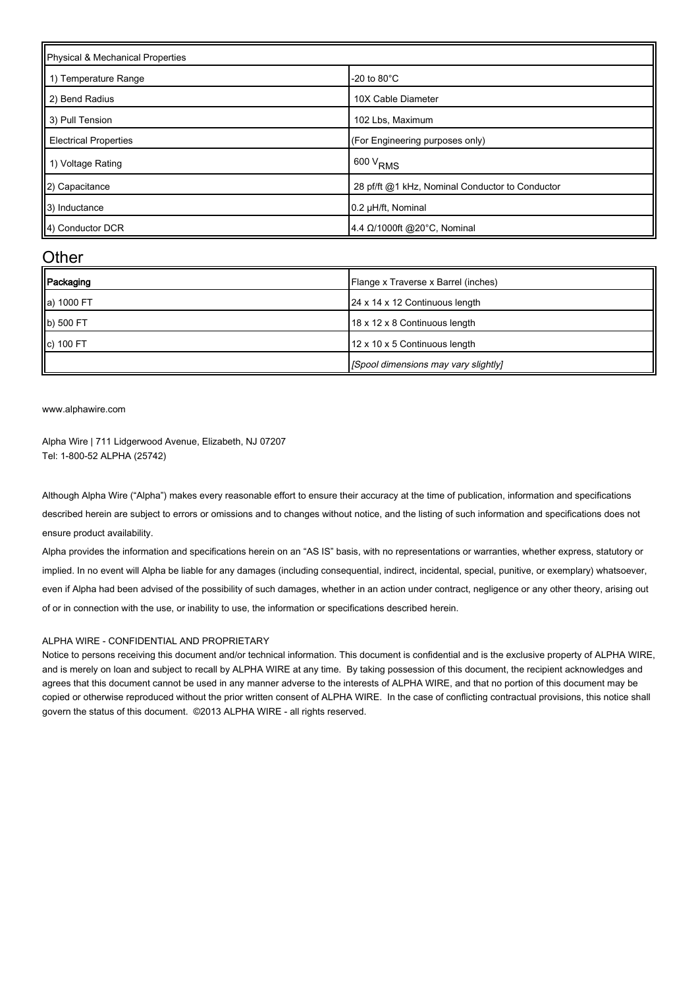| Physical & Mechanical Properties |                                                 |  |  |
|----------------------------------|-------------------------------------------------|--|--|
| 1) Temperature Range             | -20 to $80^{\circ}$ C                           |  |  |
| 2) Bend Radius                   | 10X Cable Diameter                              |  |  |
| 3) Pull Tension                  | 102 Lbs, Maximum                                |  |  |
| <b>Electrical Properties</b>     | (For Engineering purposes only)                 |  |  |
| 1) Voltage Rating                | $1600 V_{RMS}$                                  |  |  |
| (2) Capacitance                  | 28 pf/ft @1 kHz, Nominal Conductor to Conductor |  |  |
| 3) Inductance                    | 0.2 µH/ft, Nominal                              |  |  |
| 4) Conductor DCR                 | 4.4 Ω/1000ft @20°C, Nominal                     |  |  |

#### **Other**

| Packaging  | Flange x Traverse x Barrel (inches)  |
|------------|--------------------------------------|
| a) 1000 FT | 24 x 14 x 12 Continuous length       |
| b) 500 FT  | 18 x 12 x 8 Continuous length        |
| c) 100 FT  | 12 x 10 x 5 Continuous length        |
|            | [Spool dimensions may vary slightly] |

[www.alphawire.com](http://www.alphawire.com)

Alpha Wire | 711 Lidgerwood Avenue, Elizabeth, NJ 07207 Tel: 1-800-52 ALPHA (25742)

Although Alpha Wire ("Alpha") makes every reasonable effort to ensure their accuracy at the time of publication, information and specifications described herein are subject to errors or omissions and to changes without notice, and the listing of such information and specifications does not ensure product availability.

Alpha provides the information and specifications herein on an "AS IS" basis, with no representations or warranties, whether express, statutory or implied. In no event will Alpha be liable for any damages (including consequential, indirect, incidental, special, punitive, or exemplary) whatsoever, even if Alpha had been advised of the possibility of such damages, whether in an action under contract, negligence or any other theory, arising out of or in connection with the use, or inability to use, the information or specifications described herein.

#### ALPHA WIRE - CONFIDENTIAL AND PROPRIETARY

Notice to persons receiving this document and/or technical information. This document is confidential and is the exclusive property of ALPHA WIRE, and is merely on loan and subject to recall by ALPHA WIRE at any time. By taking possession of this document, the recipient acknowledges and agrees that this document cannot be used in any manner adverse to the interests of ALPHA WIRE, and that no portion of this document may be copied or otherwise reproduced without the prior written consent of ALPHA WIRE. In the case of conflicting contractual provisions, this notice shall govern the status of this document. ©2013 ALPHA WIRE - all rights reserved.